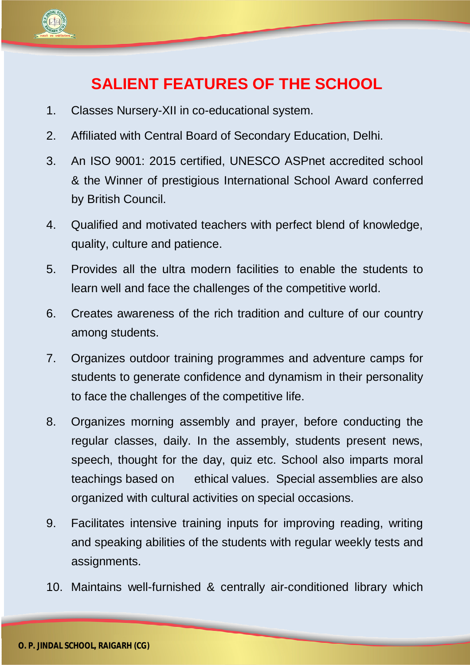

## **SALIENT FEATURES OF THE SCHOOL**

- 1. Classes Nursery-XII in co-educational system.
- 2. Affiliated with Central Board of Secondary Education, Delhi.
- 3. An ISO 9001: 2015 certified, UNESCO ASPnet accredited school & the Winner of prestigious International School Award conferred by British Council.
- 4. Qualified and motivated teachers with perfect blend of knowledge, quality, culture and patience.
- 5. Provides all the ultra modern facilities to enable the students to learn well and face the challenges of the competitive world.
- 6. Creates awareness of the rich tradition and culture of our country among students.
- 7. Organizes outdoor training programmes and adventure camps for students to generate confidence and dynamism in their personality to face the challenges of the competitive life.
- 8. Organizes morning assembly and prayer, before conducting the regular classes, daily. In the assembly, students present news, speech, thought for the day, quiz etc. School also imparts moral teachings based on ethical values. Special assemblies are also organized with cultural activities on special occasions.
- 9. Facilitates intensive training inputs for improving reading, writing and speaking abilities of the students with regular weekly tests and assignments.
- 10. Maintains well-furnished & centrally air-conditioned library which